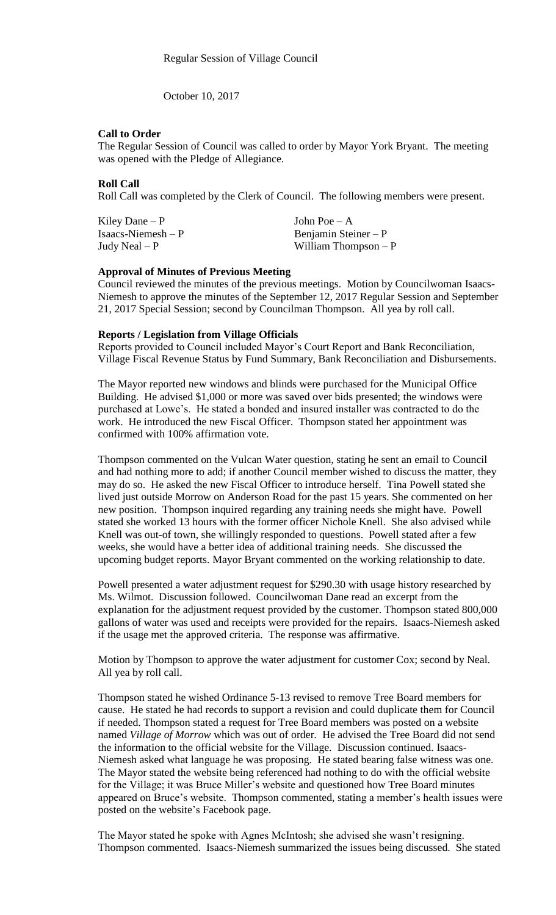October 10, 2017

### **Call to Order**

The Regular Session of Council was called to order by Mayor York Bryant. The meeting was opened with the Pledge of Allegiance.

## **Roll Call**

Roll Call was completed by the Clerk of Council. The following members were present.

Kiley Dane – P  $\qquad \qquad$  John Poe – A

Isaacs-Niemesh – P Benjamin Steiner – P Judy Neal – P William Thompson – P

### **Approval of Minutes of Previous Meeting**

Council reviewed the minutes of the previous meetings. Motion by Councilwoman Isaacs-Niemesh to approve the minutes of the September 12, 2017 Regular Session and September 21, 2017 Special Session; second by Councilman Thompson. All yea by roll call.

### **Reports / Legislation from Village Officials**

Reports provided to Council included Mayor's Court Report and Bank Reconciliation, Village Fiscal Revenue Status by Fund Summary, Bank Reconciliation and Disbursements.

The Mayor reported new windows and blinds were purchased for the Municipal Office Building. He advised \$1,000 or more was saved over bids presented; the windows were purchased at Lowe's. He stated a bonded and insured installer was contracted to do the work. He introduced the new Fiscal Officer. Thompson stated her appointment was confirmed with 100% affirmation vote.

Thompson commented on the Vulcan Water question, stating he sent an email to Council and had nothing more to add; if another Council member wished to discuss the matter, they may do so. He asked the new Fiscal Officer to introduce herself. Tina Powell stated she lived just outside Morrow on Anderson Road for the past 15 years. She commented on her new position. Thompson inquired regarding any training needs she might have. Powell stated she worked 13 hours with the former officer Nichole Knell. She also advised while Knell was out-of town, she willingly responded to questions. Powell stated after a few weeks, she would have a better idea of additional training needs. She discussed the upcoming budget reports. Mayor Bryant commented on the working relationship to date.

Powell presented a water adjustment request for \$290.30 with usage history researched by Ms. Wilmot. Discussion followed. Councilwoman Dane read an excerpt from the explanation for the adjustment request provided by the customer. Thompson stated 800,000 gallons of water was used and receipts were provided for the repairs. Isaacs-Niemesh asked if the usage met the approved criteria. The response was affirmative.

Motion by Thompson to approve the water adjustment for customer Cox; second by Neal. All yea by roll call.

Thompson stated he wished Ordinance 5-13 revised to remove Tree Board members for cause. He stated he had records to support a revision and could duplicate them for Council if needed. Thompson stated a request for Tree Board members was posted on a website named *Village of Morrow* which was out of order*.* He advised the Tree Board did not send the information to the official website for the Village. Discussion continued. Isaacs-Niemesh asked what language he was proposing. He stated bearing false witness was one. The Mayor stated the website being referenced had nothing to do with the official website for the Village; it was Bruce Miller's website and questioned how Tree Board minutes appeared on Bruce's website. Thompson commented, stating a member's health issues were posted on the website's Facebook page.

The Mayor stated he spoke with Agnes McIntosh; she advised she wasn't resigning. Thompson commented. Isaacs-Niemesh summarized the issues being discussed. She stated